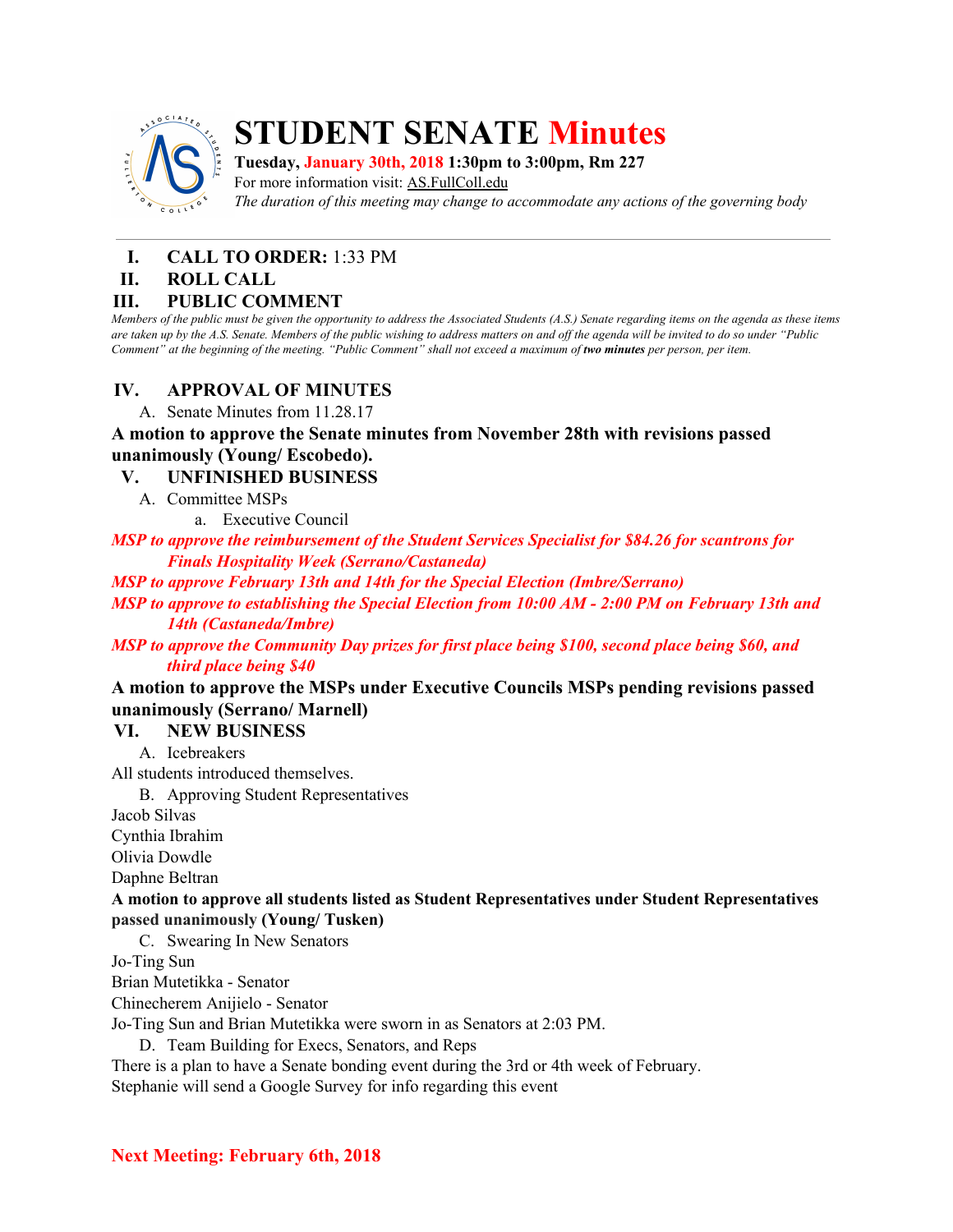

## **STUDENT SENATE Minutes**

**Tuesday, January 30th, 2018 1:30pm to 3:00pm, Rm 227**

For more information visit: AS.FullColl.edu *The duration of this meeting may change to accommodate any actions of the governing body*

# **I. CALL TO ORDER:** 1:33 PM

#### **ROLL CALL**

#### **III. PUBLIC COMMENT**

Members of the public must be given the opportunity to address the Associated Students (A.S.) Senate regarding items on the agenda as these items are taken up by the A.S. Senate. Members of the public wishing to address matters on and off the agenda will be invited to do so under "Public Comment" at the beginning of the meeting. "Public Comment" shall not exceed a maximum of two minutes per person, per item.

#### **IV. APPROVAL OF MINUTES**

A. Senate Minutes from 11.28.17

**A motion to approve the Senate minutes from November 28th with revisions passed unanimously (Young/ Escobedo).**

#### **V. UNFINISHED BUSINESS**

A. Committee MSPs

a. Executive Council

*MSP to approve the reimbursement of the Student Services Specialist for \$84.26 for scantrons for Finals Hospitality Week (Serrano/Castaneda)*

*MSP to approve February 13th and 14th for the Special Election (Imbre/Serrano)*

*MSP to approve to establishing the Special Election from 10:00 AM - 2:00 PM on February 13th and 14th (Castaneda/Imbre)*

*MSP to approve the Community Day prizes for first place being \$100, second place being \$60, and third place being \$40*

**A motion to approve the MSPs under Executive Councils MSPs pending revisions passed unanimously (Serrano/ Marnell)**

#### **VI. NEW BUSINESS**

A. Icebreakers

All students introduced themselves.

B. Approving Student Representatives

Jacob Silvas

Cynthia Ibrahim

Olivia Dowdle

Daphne Beltran

#### **A motion to approve all students listed as Student Representatives under Student Representatives passed unanimously (Young/ Tusken)**

C. Swearing In New Senators

Jo-Ting Sun

Brian Mutetikka - Senator

Chinecherem Anijielo - Senator

Jo-Ting Sun and Brian Mutetikka were sworn in as Senators at 2:03 PM.

D. Team Building for Execs, Senators, and Reps

There is a plan to have a Senate bonding event during the 3rd or 4th week of February.

Stephanie will send a Google Survey for info regarding this event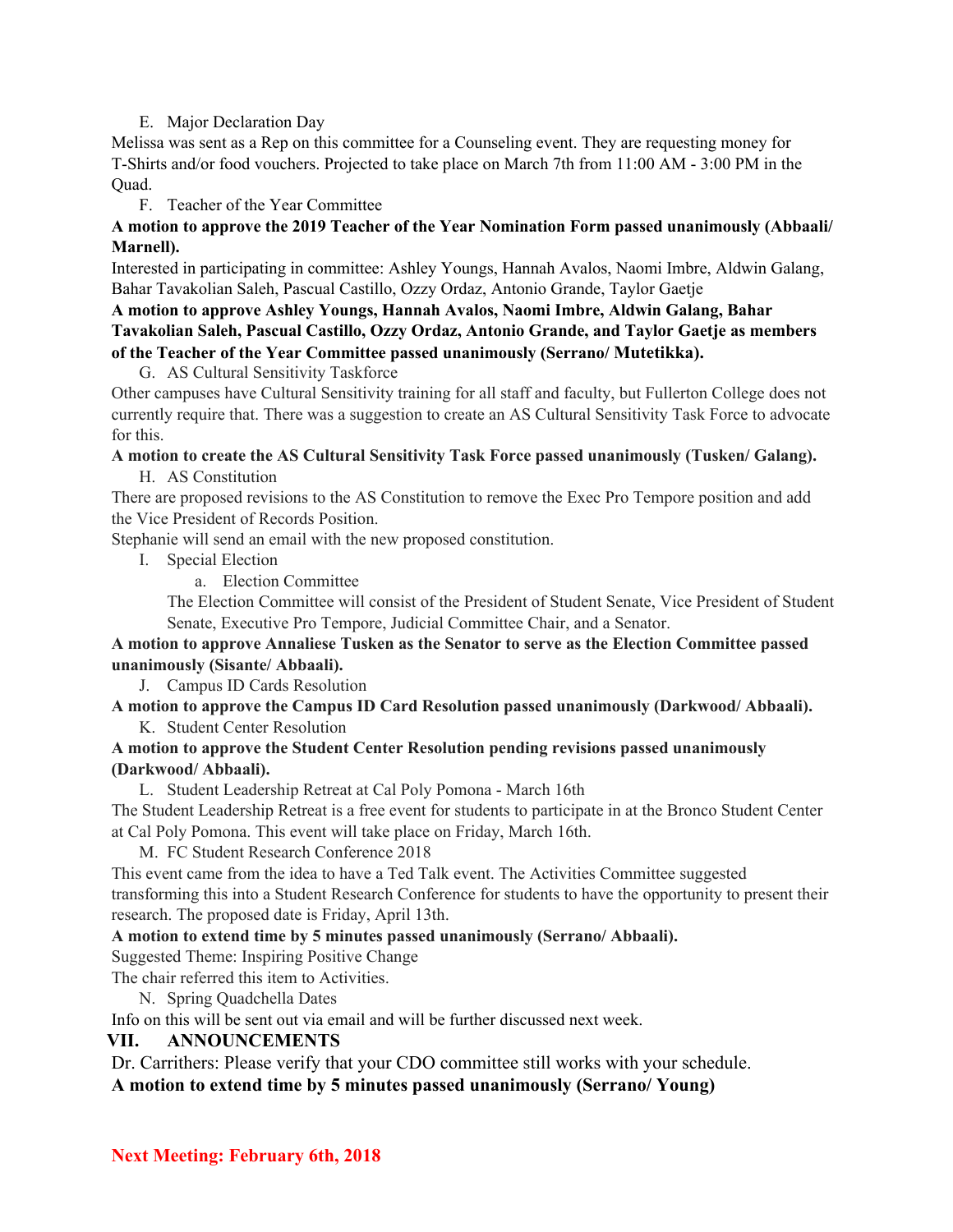#### E. Major Declaration Day

Melissa was sent as a Rep on this committee for a Counseling event. They are requesting money for T-Shirts and/or food vouchers. Projected to take place on March 7th from 11:00 AM - 3:00 PM in the Quad.

F. Teacher of the Year Committee

#### **A motion to approve the 2019 Teacher of the Year Nomination Form passed unanimously (Abbaali/ Marnell).**

Interested in participating in committee: Ashley Youngs, Hannah Avalos, Naomi Imbre, Aldwin Galang, Bahar Tavakolian Saleh, Pascual Castillo, Ozzy Ordaz, Antonio Grande, Taylor Gaetje

**A motion to approve Ashley Youngs, Hannah Avalos, Naomi Imbre, Aldwin Galang, Bahar Tavakolian Saleh, Pascual Castillo, Ozzy Ordaz, Antonio Grande, and Taylor Gaetje as members of the Teacher of the Year Committee passed unanimously (Serrano/ Mutetikka).**

G. AS Cultural Sensitivity Taskforce

Other campuses have Cultural Sensitivity training for all staff and faculty, but Fullerton College does not currently require that. There was a suggestion to create an AS Cultural Sensitivity Task Force to advocate for this.

### **A motion to create the AS Cultural Sensitivity Task Force passed unanimously (Tusken/ Galang).**

H. AS Constitution

There are proposed revisions to the AS Constitution to remove the Exec Pro Tempore position and add the Vice President of Records Position.

Stephanie will send an email with the new proposed constitution.

I. Special Election

a. Election Committee

The Election Committee will consist of the President of Student Senate, Vice President of Student Senate, Executive Pro Tempore, Judicial Committee Chair, and a Senator.

#### **A motion to approve Annaliese Tusken as the Senator to serve as the Election Committee passed unanimously (Sisante/ Abbaali).**

J. Campus ID Cards Resolution

#### **A motion to approve the Campus ID Card Resolution passed unanimously (Darkwood/ Abbaali).** K. Student Center Resolution

#### **A motion to approve the Student Center Resolution pending revisions passed unanimously (Darkwood/ Abbaali).**

L. Student Leadership Retreat at Cal Poly Pomona - March 16th

The Student Leadership Retreat is a free event for students to participate in at the Bronco Student Center at Cal Poly Pomona. This event will take place on Friday, March 16th.

M. FC Student Research Conference 2018

This event came from the idea to have a Ted Talk event. The Activities Committee suggested transforming this into a Student Research Conference for students to have the opportunity to present their research. The proposed date is Friday, April 13th.

#### **A motion to extend time by 5 minutes passed unanimously (Serrano/ Abbaali).**

Suggested Theme: Inspiring Positive Change

The chair referred this item to Activities.

N. Spring Quadchella Dates

Info on this will be sent out via email and will be further discussed next week.

#### **VII. ANNOUNCEMENTS**

Dr. Carrithers: Please verify that your CDO committee still works with your schedule. **A motion to extend time by 5 minutes passed unanimously (Serrano/ Young)**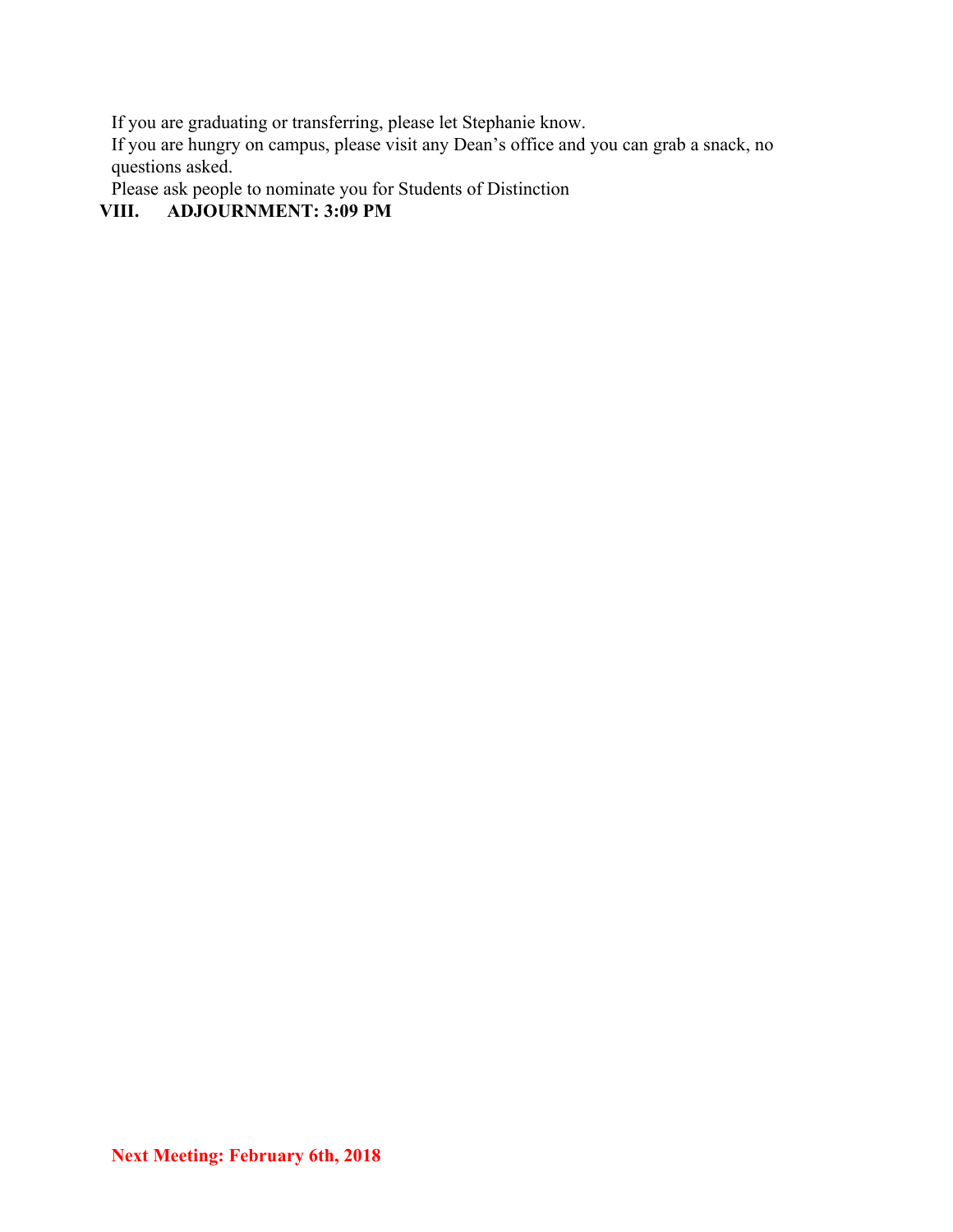If you are graduating or transferring, please let Stephanie know.

If you are hungry on campus, please visit any Dean's office and you can grab a snack, no questions asked.

Please ask people to nominate you for Students of Distinction<br>VIII. ADJOURNMENT: 3:09 PM

## **VIII. ADJOURNMENT: 3:09 PM**